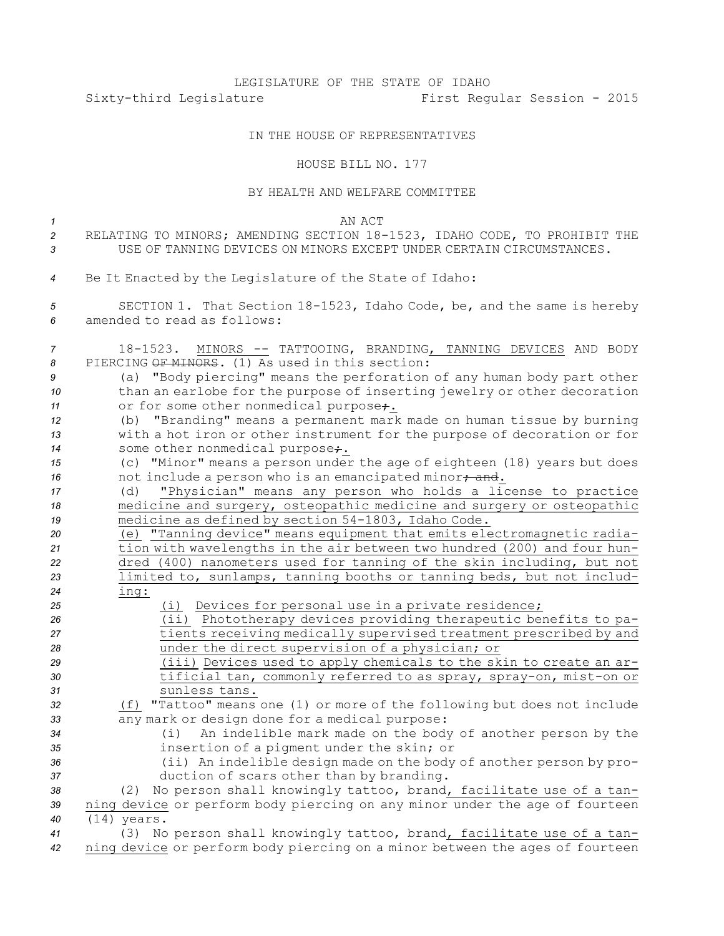## LEGISLATURE OF THE STATE OF IDAHO Sixty-third Legislature First Regular Session - 2015

## IN THE HOUSE OF REPRESENTATIVES

HOUSE BILL NO. 177

## BY HEALTH AND WELFARE COMMITTEE

| $\mathcal I$                                                                  | AN ACT                                                                                                                                                                                                                                                                                                                                                                                                                                                                                                                                                                                                                                                                                                                                                                                                                                                                                                                              |
|-------------------------------------------------------------------------------|-------------------------------------------------------------------------------------------------------------------------------------------------------------------------------------------------------------------------------------------------------------------------------------------------------------------------------------------------------------------------------------------------------------------------------------------------------------------------------------------------------------------------------------------------------------------------------------------------------------------------------------------------------------------------------------------------------------------------------------------------------------------------------------------------------------------------------------------------------------------------------------------------------------------------------------|
| $\overline{2}$                                                                | RELATING TO MINORS; AMENDING SECTION 18-1523, IDAHO CODE, TO PROHIBIT THE                                                                                                                                                                                                                                                                                                                                                                                                                                                                                                                                                                                                                                                                                                                                                                                                                                                           |
| 3                                                                             | USE OF TANNING DEVICES ON MINORS EXCEPT UNDER CERTAIN CIRCUMSTANCES.                                                                                                                                                                                                                                                                                                                                                                                                                                                                                                                                                                                                                                                                                                                                                                                                                                                                |
| 4                                                                             | Be It Enacted by the Legislature of the State of Idaho:                                                                                                                                                                                                                                                                                                                                                                                                                                                                                                                                                                                                                                                                                                                                                                                                                                                                             |
| 5<br>6                                                                        | SECTION 1. That Section 18-1523, Idaho Code, be, and the same is hereby<br>amended to read as follows:                                                                                                                                                                                                                                                                                                                                                                                                                                                                                                                                                                                                                                                                                                                                                                                                                              |
| 7<br>8<br>9<br>10<br>11<br>12<br>13<br>14<br>15<br>16<br>17<br>18<br>19<br>20 | 18-1523. MINORS -- TATTOOING, BRANDING, TANNING DEVICES AND BODY<br>PIERCING OF MINORS. (1) As used in this section:<br>(a) "Body piercing" means the perforation of any human body part other<br>than an earlobe for the purpose of inserting jewelry or other decoration<br>or for some other nonmedical purpose;.<br>(b) "Branding" means a permanent mark made on human tissue by burning<br>with a hot iron or other instrument for the purpose of decoration or for<br>some other nonmedical purpose+.<br>(c) "Minor" means a person under the age of eighteen (18) years but does<br>not include a person who is an emancipated minor; and.<br>"Physician" means any person who holds a license to practice<br>(d)<br>medicine and surgery, osteopathic medicine and surgery or osteopathic<br>medicine as defined by section 54-1803, Idaho Code.<br>(e) "Tanning device" means equipment that emits electromagnetic radia- |
| 21                                                                            | tion with wavelengths in the air between two hundred (200) and four hun-                                                                                                                                                                                                                                                                                                                                                                                                                                                                                                                                                                                                                                                                                                                                                                                                                                                            |
| 22<br>23                                                                      | dred (400) nanometers used for tanning of the skin including, but not<br>limited to, sunlamps, tanning booths or tanning beds, but not includ-                                                                                                                                                                                                                                                                                                                                                                                                                                                                                                                                                                                                                                                                                                                                                                                      |
| 24                                                                            | ing:                                                                                                                                                                                                                                                                                                                                                                                                                                                                                                                                                                                                                                                                                                                                                                                                                                                                                                                                |
| 25                                                                            | (i) Devices for personal use in a private residence;                                                                                                                                                                                                                                                                                                                                                                                                                                                                                                                                                                                                                                                                                                                                                                                                                                                                                |
| 26                                                                            | (ii) Phototherapy devices providing therapeutic benefits to pa-                                                                                                                                                                                                                                                                                                                                                                                                                                                                                                                                                                                                                                                                                                                                                                                                                                                                     |
| 27                                                                            | tients receiving medically supervised treatment prescribed by and                                                                                                                                                                                                                                                                                                                                                                                                                                                                                                                                                                                                                                                                                                                                                                                                                                                                   |
| 28                                                                            | under the direct supervision of a physician; or                                                                                                                                                                                                                                                                                                                                                                                                                                                                                                                                                                                                                                                                                                                                                                                                                                                                                     |
| 29                                                                            | (iii) Devices used to apply chemicals to the skin to create an ar-                                                                                                                                                                                                                                                                                                                                                                                                                                                                                                                                                                                                                                                                                                                                                                                                                                                                  |
| 30                                                                            | tificial tan, commonly referred to as spray, spray-on, mist-on or                                                                                                                                                                                                                                                                                                                                                                                                                                                                                                                                                                                                                                                                                                                                                                                                                                                                   |
| 31                                                                            | sunless tans.                                                                                                                                                                                                                                                                                                                                                                                                                                                                                                                                                                                                                                                                                                                                                                                                                                                                                                                       |
| 32                                                                            | (f) "Tattoo" means one (1) or more of the following but does not include                                                                                                                                                                                                                                                                                                                                                                                                                                                                                                                                                                                                                                                                                                                                                                                                                                                            |
| 33                                                                            | any mark or design done for a medical purpose:                                                                                                                                                                                                                                                                                                                                                                                                                                                                                                                                                                                                                                                                                                                                                                                                                                                                                      |
| 34                                                                            | An indelible mark made on the body of another person by the<br>(i)                                                                                                                                                                                                                                                                                                                                                                                                                                                                                                                                                                                                                                                                                                                                                                                                                                                                  |
| 35                                                                            | insertion of a pigment under the skin; or                                                                                                                                                                                                                                                                                                                                                                                                                                                                                                                                                                                                                                                                                                                                                                                                                                                                                           |
| 36                                                                            | (ii) An indelible design made on the body of another person by pro-                                                                                                                                                                                                                                                                                                                                                                                                                                                                                                                                                                                                                                                                                                                                                                                                                                                                 |
| 37                                                                            | duction of scars other than by branding.                                                                                                                                                                                                                                                                                                                                                                                                                                                                                                                                                                                                                                                                                                                                                                                                                                                                                            |
| 38                                                                            | (2) No person shall knowingly tattoo, brand, facilitate use of a tan-                                                                                                                                                                                                                                                                                                                                                                                                                                                                                                                                                                                                                                                                                                                                                                                                                                                               |
| 39                                                                            | ning device or perform body piercing on any minor under the age of fourteen                                                                                                                                                                                                                                                                                                                                                                                                                                                                                                                                                                                                                                                                                                                                                                                                                                                         |
| 40<br>41                                                                      | $(14)$ years.<br>(3) No person shall knowingly tattoo, brand, facilitate use of a tan-                                                                                                                                                                                                                                                                                                                                                                                                                                                                                                                                                                                                                                                                                                                                                                                                                                              |
| 42                                                                            | ning device or perform body piercing on a minor between the ages of fourteen                                                                                                                                                                                                                                                                                                                                                                                                                                                                                                                                                                                                                                                                                                                                                                                                                                                        |
|                                                                               |                                                                                                                                                                                                                                                                                                                                                                                                                                                                                                                                                                                                                                                                                                                                                                                                                                                                                                                                     |